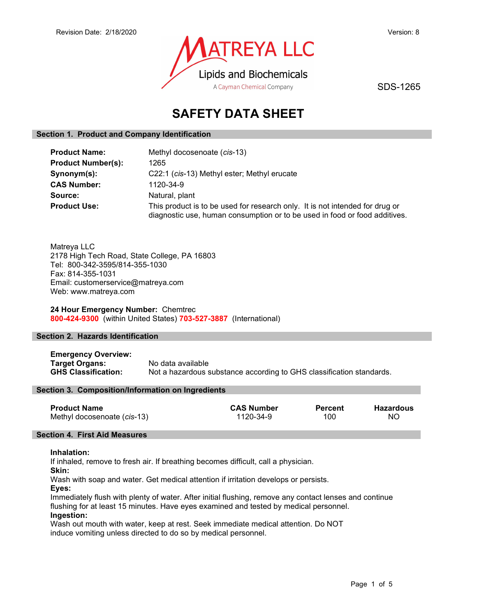

SDS-1265

# SAFETY DATA SHEET

# Section 1. Product and Company Identification

| <b>Product Name:</b>      | Methyl docosenoate (cis-13)                                                                                                                                |
|---------------------------|------------------------------------------------------------------------------------------------------------------------------------------------------------|
| <b>Product Number(s):</b> | 1265                                                                                                                                                       |
| Synonym(s):               | C22:1 (cis-13) Methyl ester; Methyl erucate                                                                                                                |
| <b>CAS Number:</b>        | 1120-34-9                                                                                                                                                  |
| Source:                   | Natural, plant                                                                                                                                             |
| <b>Product Use:</b>       | This product is to be used for research only. It is not intended for drug or<br>diagnostic use, human consumption or to be used in food or food additives. |

Matreya LLC 2178 High Tech Road, State College, PA 16803 Tel: 800-342-3595/814-355-1030 Fax: 814-355-1031 Email: customerservice@matreya.com Web: www.matreya.com

# 24 Hour Emergency Number: Chemtrec 800-424-9300 (within United States) 703-527-3887 (International)

# Section 2. Hazards Identification

Emergency Overview: Target Organs: No data available GHS Classification: Not a hazardous substance according to GHS classification standards.

# Section 3. Composition/Information on Ingredients

| <b>Product Name</b>         | <b>CAS Number</b> | <b>Percent</b> | Hazardous |
|-----------------------------|-------------------|----------------|-----------|
| Methyl docosenoate (cis-13) | 1120-34-9         | 100            | ΝO        |

# Section 4. First Aid Measures

### Inhalation:

If inhaled, remove to fresh air. If breathing becomes difficult, call a physician.

Skin:

Wash with soap and water. Get medical attention if irritation develops or persists.

Eyes:

Immediately flush with plenty of water. After initial flushing, remove any contact lenses and continue flushing for at least 15 minutes. Have eyes examined and tested by medical personnel. Ingestion:

Wash out mouth with water, keep at rest. Seek immediate medical attention. Do NOT induce vomiting unless directed to do so by medical personnel.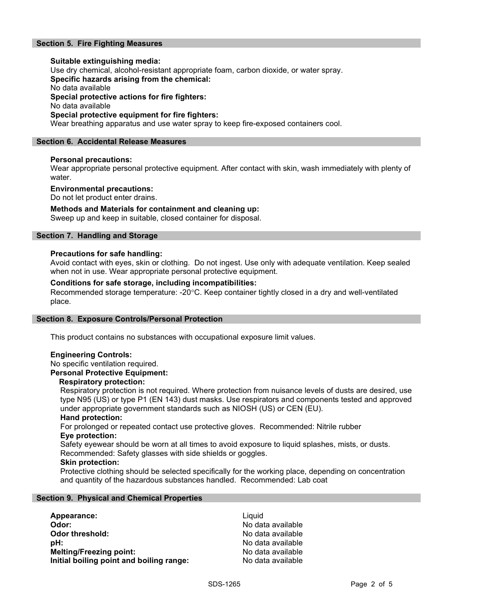# Section 5. Fire Fighting Measures

Suitable extinguishing media: Use dry chemical, alcohol-resistant appropriate foam, carbon dioxide, or water spray. Specific hazards arising from the chemical: No data available Special protective actions for fire fighters: No data available Special protective equipment for fire fighters: Wear breathing apparatus and use water spray to keep fire-exposed containers cool.

# Section 6. Accidental Release Measures

# Personal precautions:

Wear appropriate personal protective equipment. After contact with skin, wash immediately with plenty of water.

### Environmental precautions:

Do not let product enter drains.

# Methods and Materials for containment and cleaning up:

Sweep up and keep in suitable, closed container for disposal.

# Section 7. Handling and Storage

### Precautions for safe handling:

Avoid contact with eyes, skin or clothing. Do not ingest. Use only with adequate ventilation. Keep sealed when not in use. Wear appropriate personal protective equipment.

# Conditions for safe storage, including incompatibilities:

Recommended storage temperature: -20°C. Keep container tightly closed in a dry and well-ventilated place.

### Section 8. Exposure Controls/Personal Protection

This product contains no substances with occupational exposure limit values.

# Engineering Controls:

No specific ventilation required.

# Personal Protective Equipment:

### Respiratory protection:

Respiratory protection is not required. Where protection from nuisance levels of dusts are desired, use type N95 (US) or type P1 (EN 143) dust masks. Use respirators and components tested and approved under appropriate government standards such as NIOSH (US) or CEN (EU).

# Hand protection:

For prolonged or repeated contact use protective gloves. Recommended: Nitrile rubber Eye protection:

Safety eyewear should be worn at all times to avoid exposure to liquid splashes, mists, or dusts. Recommended: Safety glasses with side shields or goggles.

### Skin protection:

Protective clothing should be selected specifically for the working place, depending on concentration and quantity of the hazardous substances handled. Recommended: Lab coat

### Section 9. Physical and Chemical Properties

| Appearance:                              | Liauid            |
|------------------------------------------|-------------------|
| Odor:                                    | No data available |
| Odor threshold:                          | No data available |
| pH:                                      | No data available |
| <b>Melting/Freezing point:</b>           | No data available |
| Initial boiling point and boiling range: | No data available |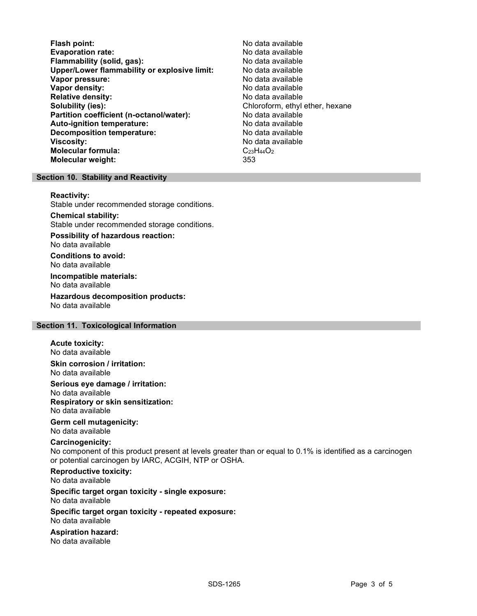Flash point:<br>
Evaporation rate: No data available<br>
No data available Evaporation rate:<br>
Flammability (solid. gas): No data available Flammability (solid, gas): Upper/Lower flammability or explosive limit: No data available Vapor pressure: No data available **Vapor density:** No data available in the set of the set of the No data available Relative density: No data available Solubility (ies): Chloroform, ethyl ether, hexane Partition coefficient (n-octanol/water): No data available Auto-ignition temperature: No data available Decomposition temperature: **Viscosity:** No data available and the set of the set of the set of the set of the set of the set of the set of the set of the set of the set of the set of the set of the set of the set of the set of the set of the set of Molecular formula: C<sub>23</sub>H<sub>44</sub>O<sub>2</sub> Molecular weight: 353

# Section 10. Stability and Reactivity

#### Reactivity:

Stable under recommended storage conditions.

Chemical stability: Stable under recommended storage conditions.

Possibility of hazardous reaction: No data available

Conditions to avoid: No data available

Incompatible materials: No data available

Hazardous decomposition products: No data available

# Section 11. Toxicological Information

### Acute toxicity:

No data available Skin corrosion / irritation:

No data available

Serious eye damage / irritation:

No data available Respiratory or skin sensitization: No data available

# Germ cell mutagenicity:

No data available

# Carcinogenicity:

No component of this product present at levels greater than or equal to 0.1% is identified as a carcinogen or potential carcinogen by IARC, ACGIH, NTP or OSHA.

Reproductive toxicity: No data available

Specific target organ toxicity - single exposure: No data available

#### Specific target organ toxicity - repeated exposure: No data available

Aspiration hazard: No data available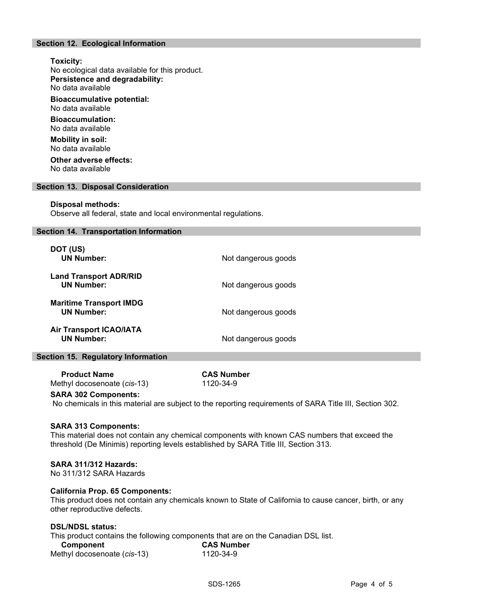# Section 12. Ecological Information

# Toxicity: No ecological data available for this product. Persistence and degradability: No data available Bioaccumulative potential: No data available Bioaccumulation: No data available Mobility in soil: No data available Other adverse effects: No data available

### Section 13. Disposal Consideration

#### Disposal methods:

Observe all federal, state and local environmental regulations.

#### Section 14. Transportation Information

| DOT (US)<br><b>UN Number:</b>                       | Not dangerous goods |
|-----------------------------------------------------|---------------------|
| <b>Land Transport ADR/RID</b><br><b>UN Number:</b>  | Not dangerous goods |
| <b>Maritime Transport IMDG</b><br><b>UN Number:</b> | Not dangerous goods |
| <b>Air Transport ICAO/IATA</b><br><b>UN Number:</b> | Not dangerous goods |

# Section 15. Regulatory Information

Product Name CAS Number<br>
exthyl docosenoate (cis-13) 1120-34-9 Methyl docosenoate (cis-13)

# SARA 302 Components:

No chemicals in this material are subject to the reporting requirements of SARA Title III, Section 302.

#### SARA 313 Components:

This material does not contain any chemical components with known CAS numbers that exceed the threshold (De Minimis) reporting levels established by SARA Title III, Section 313.

# SARA 311/312 Hazards:

No 311/312 SARA Hazards

#### California Prop. 65 Components:

This product does not contain any chemicals known to State of California to cause cancer, birth, or any other reproductive defects.

# DSL/NDSL status:

This product contains the following components that are on the Canadian DSL list.

| Component                   | <b>CAS Number</b> |
|-----------------------------|-------------------|
| Methyl docosenoate (cis-13) | 1120-34-9         |